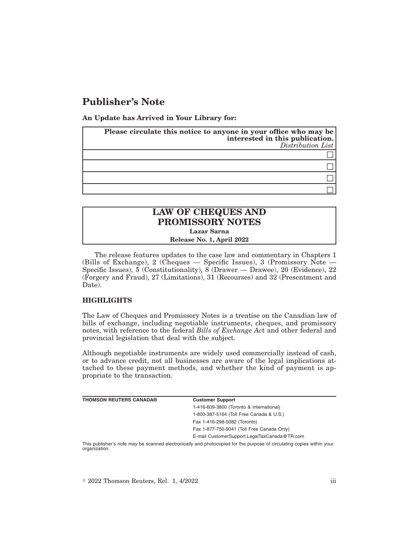## **Publisher's Note**

**An Update has Arrived in Your Library for:**

| Please circulate this notice to anyone in your office who may be<br>interested in this publication.<br>Distribution List |
|--------------------------------------------------------------------------------------------------------------------------|
|                                                                                                                          |
|                                                                                                                          |
|                                                                                                                          |
|                                                                                                                          |

## **LAW OF CHEQUES AND PROMISSORY NOTES Lazar Sarna**

**Release No. 1, April 2022**

The release features updates to the case law and commentary in Chapters 1 (Bills of Exchange), 2 (Cheques — Specific Issues), 3 (Promissory Note — Specific Issues), 5 (Constitutionality), 8 (Drawer — Drawee), 20 (Evidence), 22 (Forgery and Fraud), 27 (Limitations), 31 (Recourses) and 32 (Presentment and Date).

## **HIGHLIGHTS**

The Law of Cheques and Promissory Notes is a treatise on the Canadian law of bills of exchange, including negotiable instruments, cheques, and promissory notes, with reference to the federal *Bills of Exchange Ac*t and other federal and provincial legislation that deal with the subject.

Although negotiable instruments are widely used commercially instead of cash, or to advance credit, not all businesses are aware of the legal implications attached to these payment methods, and whether the kind of payment is appropriate to the transaction.

| <b>THOMSON REUTERS CANADA®</b> | <b>Customer Support</b>                      |
|--------------------------------|----------------------------------------------|
|                                | 1-416-609-3800 (Toronto & International)     |
|                                | 1-800-387-5164 (Toll Free Canada & U.S.)     |
|                                | Fax 1-416-298-5082 (Toronto)                 |
|                                | Fax 1-877-750-9041 (Toll Free Canada Only)   |
|                                | E-mail CustomerSupport.LegalTaxCanada@TR.com |
|                                |                                              |

This publisher's note may be scanned electronically and photocopied for the purpose of circulating copies within your organization.

 $\degree$  2022 Thomson Reuters, Rel. 1, 4/2022 iii